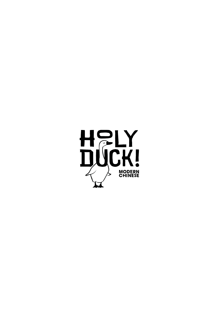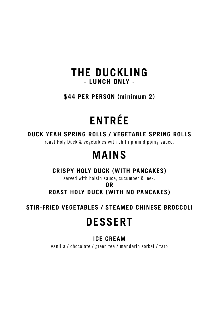# **THE DUCKLING - LUNCH ONLY -**

**\$44 PER PERSON (minimum 2)**

# **ENTRÉE**

### **DUCK YEAH SPRING ROLLS / VEGETABLE SPRING ROLLS**

roast Holy Duck & vegetables with chilli plum dipping sauce.

# **MAINS**

# **CRISPY HOLY DUCK (WITH PANCAKES)**

served with hoisin sauce, cucumber & leek.

**OR ROAST HOLY DUCK (WITH NO PANCAKES)**

**STIR-FRIED VEGETABLES / STEAMED CHINESE BROCCOLI**

# **DESSERT**

# **ICE CREAM**

vanilla / chocolate / green tea / mandarin sorbet / taro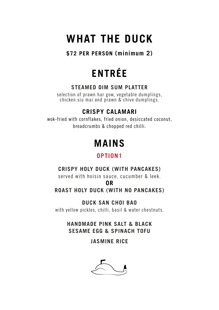# **WHAT THE DUCK**

**\$72 PER PERSON (minimum 2)**

# **ENTRÉE**

### **STEAMED DIM SUM PLATTER**

selection of prawn har gow, vegetable dumplings, chicken siu mai and prawn & chive dumplings.

# **CRISPY CALAMARI**

wok-fried with cornflakes, fried onion, desiccated coconut, breadcrumbs & chopped red chilli.

# **MAINS**

# **OPTION1**

## **CRISPY HOLY DUCK (WITH PANCAKES)**

served with hoisin sauce, cucumber & leek.

#### **OR**

## **ROAST HOLY DUCK (WITH NO PANCAKES)**

**DUCK SAN CHOI BAO** with yellow pickles, chilli, basil & water chestnuts.

> **HANDMADE PINK SALT & BLACK SESAME EGG & SPINACH TOFU**

> > **JASMINE RICE**

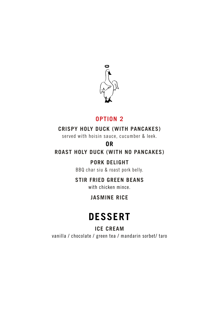

## **OPTION 2**

### **CRISPY HOLY DUCK (WITH PANCAKES)**

served with hoisin sauce, cucumber & leek.

### **OR**

**ROAST HOLY DUCK (WITH NO PANCAKES)**

### **PORK DELIGHT**

BBQ char siu & roast pork belly.

### **STIR FRIED GREEN BEANS**

with chicken mince.

### **JASMINE RICE**

# **DESSERT**

#### **ICE CREAM**

vanilla / chocolate / green tea / mandarin sorbet/ taro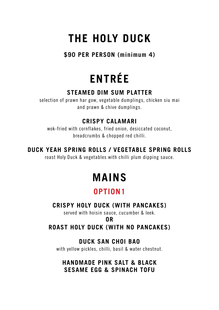# **THE HOLY DUCK**

**\$90 PER PERSON (minimum 4)**

# **ENTRÉE**

## **STEAMED DIM SUM PLATTER**

selection of prawn har gow, vegetable dumplings, chicken siu mai and prawn & chive dumplings.

# **CRISPY CALAMARI**

wok-fried with cornflakes, fried onion, desiccated coconut, breadcrumbs & chopped red chilli.

# **DUCK YEAH SPRING ROLLS / VEGETABLE SPRING ROLLS**

roast Holy Duck & vegetables with chilli plum dipping sauce.

# **MAINS**

# **OPTION1**

# **CRISPY HOLY DUCK (WITH PANCAKES)**

served with hoisin sauce, cucumber & leek.

### **OR**

# **ROAST HOLY DUCK (WITH NO PANCAKES)**

# **DUCK SAN CHOI BAO**

with yellow pickles, chilli, basil & water chestnut.

### **HANDMADE PINK SALT & BLACK SESAME EGG & SPINACH TOFU**